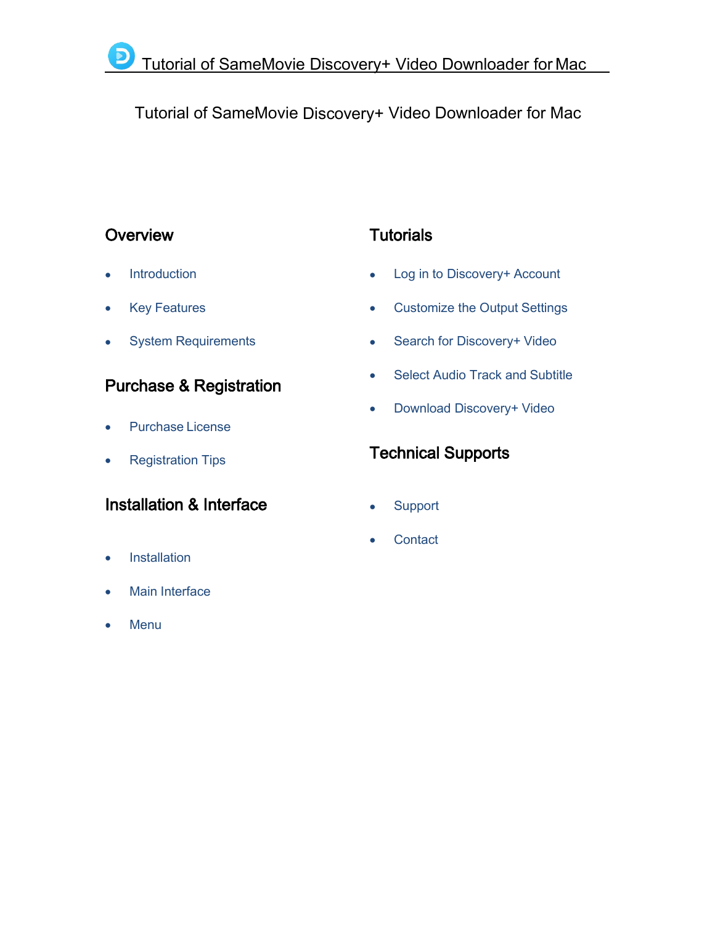# Tutorial of SameMovie Discovery+ Video Downloader for Mac

## **Overview**

- **[Introduction](#page-1-0)**
- Key [Features](#page-1-1)
- System [Requirements](#page-2-0)

## Purchase & Registration

- [Purchase](#page-3-0) License
- [Registration](#page-3-1) Tips

## Installation & Interface

- **[Installation](#page-5-0)**
- Main [Interface](#page-5-0)
- **[Menu](#page-6-0)**

# **Tutorials**

- Log in to [Discovery+](#page-7-0) Account
- [Customize](#page-8-0) the Output Settings
- Search for [Discovery+](#page-8-1) Video
- Select Audio Track and [Subtitle](#page-9-0)
- Download [Discovery+](#page-10-0) Video

## Technical Supports

- [Support](#page-11-0)
- **[Contact](#page-11-1)**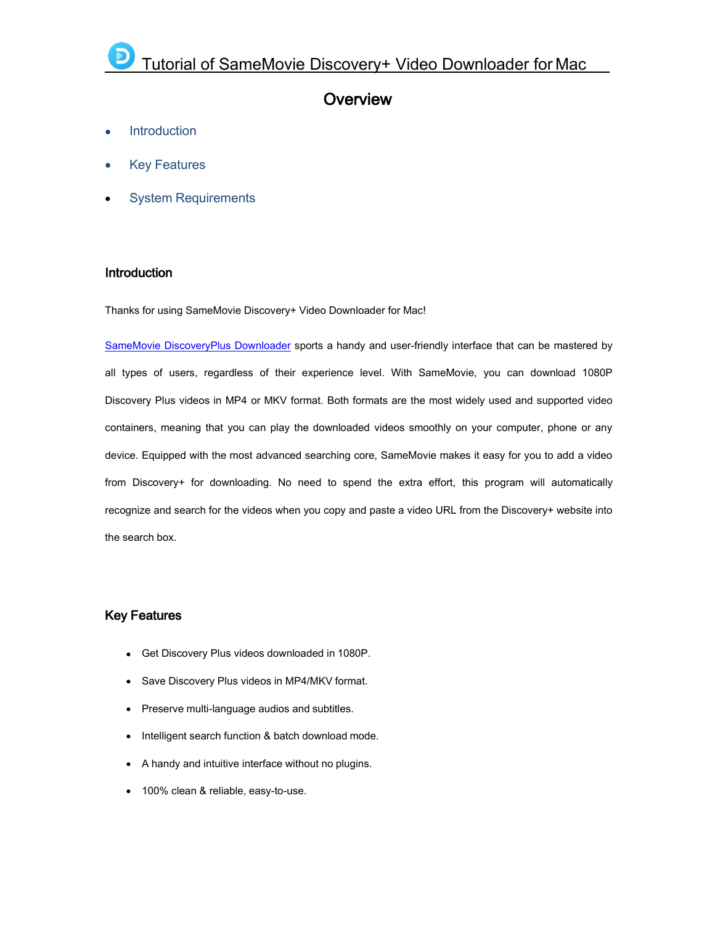## <span id="page-1-2"></span><span id="page-1-0"></span>**Overview**

- **[Introduction](#page-1-0)**
- Key [Features](#page-1-2)
- System [Requirements](#page-2-0)

### Introduction

Thanks for using SameMovie Discovery+ Video Downloader for Mac!

SameMovie [DiscoveryPlus](https://www.samemovie.com/discoveryplus-video-downloader-for-mac.html) Downloader sports a handy and user-friendly interface that can be mastered by all types of users, regardless of their experience level. With SameMovie, you can download 1080P Discovery Plus videos in MP4 or MKV format. Both formats are the most widely used and supported video containers, meaning that you can play the downloaded videos smoothly on your computer, phone or any device. Equipped with the most advanced searching core, SameMovie makes it easy for you to add a video from Discovery+ for downloading. No need to spend the extra effort, this program will automatically recognize and search for the videos when you copy and paste a video URL from the Discovery+ website into the search box.

## <span id="page-1-1"></span>Key Features

- Get Discovery Plus videos downloaded in 1080P.
- Save Discovery Plus videos in MP4/MKV format.
- Preserve multi-language audios and subtitles.
- Intelligent search function & batch download mode.
- A handy and intuitive interface without no plugins.
- 100% clean & reliable, easy-to-use.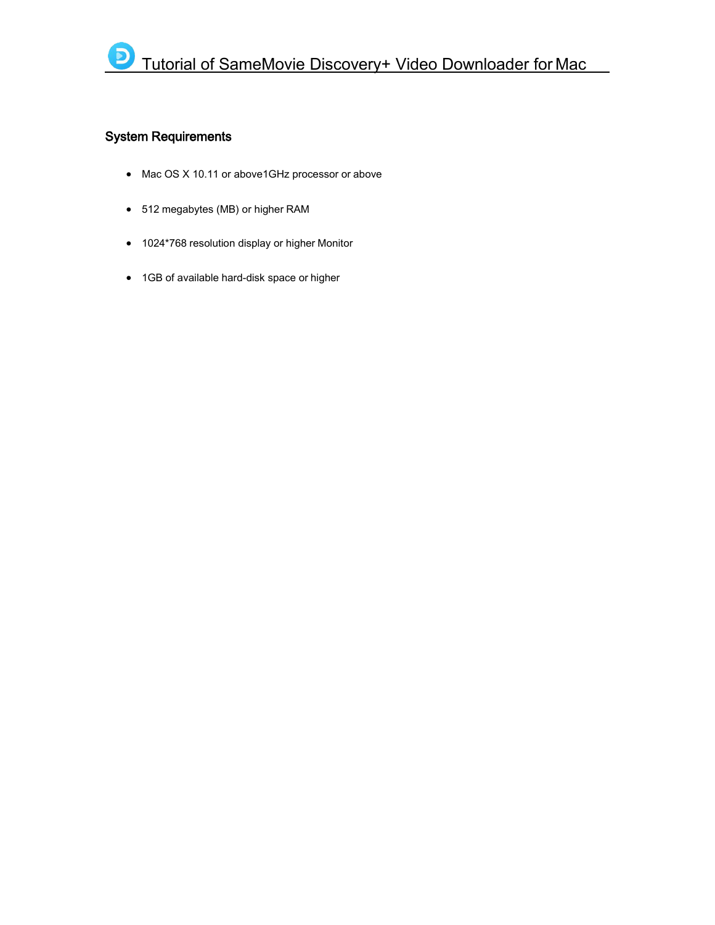## <span id="page-2-0"></span>System Requirements

- Mac OS X 10.11 or above1GHz processor or above
- 512 megabytes (MB) or higher RAM
- 1024\*768 resolution display or higher Monitor
- 1GB of available hard-disk space or higher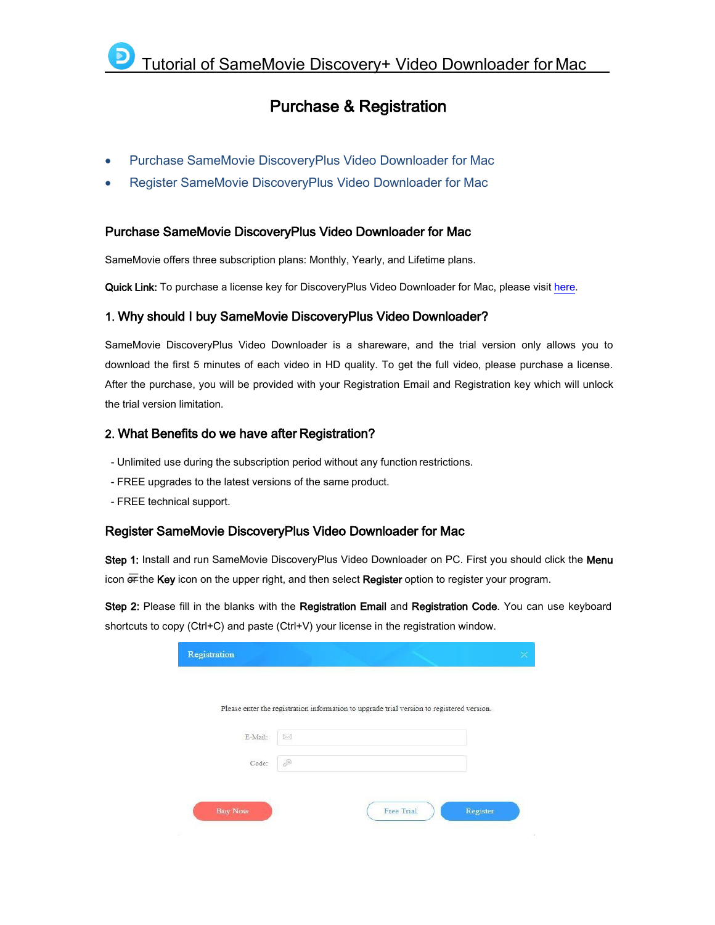## <span id="page-3-2"></span>Purchase & Registration

- Purchase SameMovie [DiscoveryPlus](#page-3-2) Video Downloader for Mac
- <span id="page-3-0"></span>Register SameMovie [DiscoveryPlus](#page-3-3) Video Downloader for Mac

### Purchase SameMovie DiscoveryPlus Video Downloader for Mac

SameMovie offers three subscription plans: Monthly, Yearly, and Lifetime plans.

Quick Link: To purchase a license key for DiscoveryPlus Video Downloader for Mac, please visit [here.](https://www.samemovie.com/discoveryplus-video-downloader-mac/buynow.html)

### 1. Why should I buy SameMovie DiscoveryPlus Video Downloader?

SameMovie DiscoveryPlus Video Downloader is a shareware, and the trial version only allows you to download the first 5 minutes of each video in HD quality. To get the full video, please purchase a license. After the purchase, you will be provided with your Registration Email and Registration key which will unlock the trial version limitation.

### 2. What Benefits do we have after Registration?

- Unlimited use during the subscription period without any function restrictions.- FREE upgrades to the latest versions of the same product.
- 
- <span id="page-3-1"></span>- FREE technical support.

## <span id="page-3-3"></span>Register SameMovie DiscoveryPlus Video Downloader for Mac

Step 1: Install and run SameMovie DiscoveryPlus Video Downloader on PC. First you should click the Menu icon  $\overline{or}$  the Key icon on the upper right, and then select Register option to register your program.

Step 2: Please fill in the blanks with the Registration Email and Registration Code. You can use keyboard shortcuts to copy (Ctrl+C) and paste (Ctrl+V) your license in the registration window.

| Registration   |                                                                                           |                   |          |
|----------------|-------------------------------------------------------------------------------------------|-------------------|----------|
|                |                                                                                           |                   |          |
|                | Please enter the registration information to upgrade trial version to registered version. |                   |          |
| E-Mail:        | $\triangleright$                                                                          |                   |          |
|                |                                                                                           |                   |          |
| Code:          | P                                                                                         |                   |          |
|                |                                                                                           |                   |          |
| <b>Buy Now</b> |                                                                                           | <b>Free Trial</b> | Register |
|                |                                                                                           |                   |          |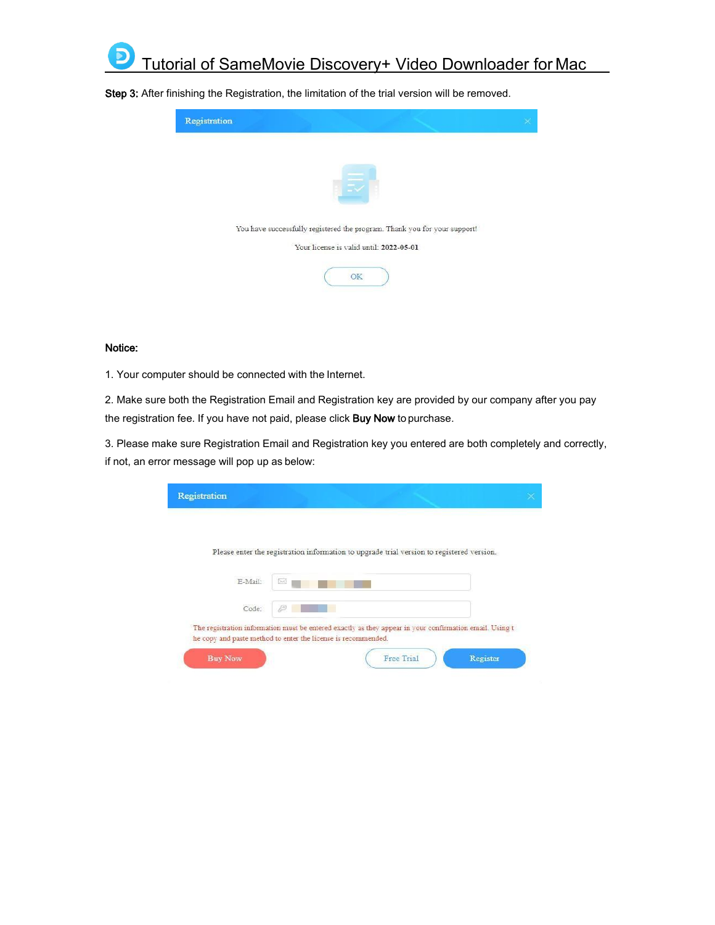

Registration You have successfully registered the program. Thank you for your support! Your license is valid until: 2022-05-01 OK

Step 3: After finishing the Registration, the limitation of the trial version will be removed.

#### Notice:

1. Your computer should be connected with the Internet.

2. Make sure both the Registration Email and Registration key are provided by our company after you pay the registration fee. If you have not paid, please click Buy Now to purchase.

3. Please make sure Registration Email and Registration key you entered are both completely and correctly, if not, an error message will pop up as below:

| Registration   |                                                                                                                                                                          |  |
|----------------|--------------------------------------------------------------------------------------------------------------------------------------------------------------------------|--|
|                |                                                                                                                                                                          |  |
|                | Please enter the registration information to upgrade trial version to registered version.                                                                                |  |
| E-Mail:        | D-C                                                                                                                                                                      |  |
| Code:          | JΘ                                                                                                                                                                       |  |
|                | The registration information must be entered exactly as they appear in your confirmation email. Using t<br>he copy and paste method to enter the license is recommended. |  |
| <b>Buy Now</b> | Free Trial<br>Register                                                                                                                                                   |  |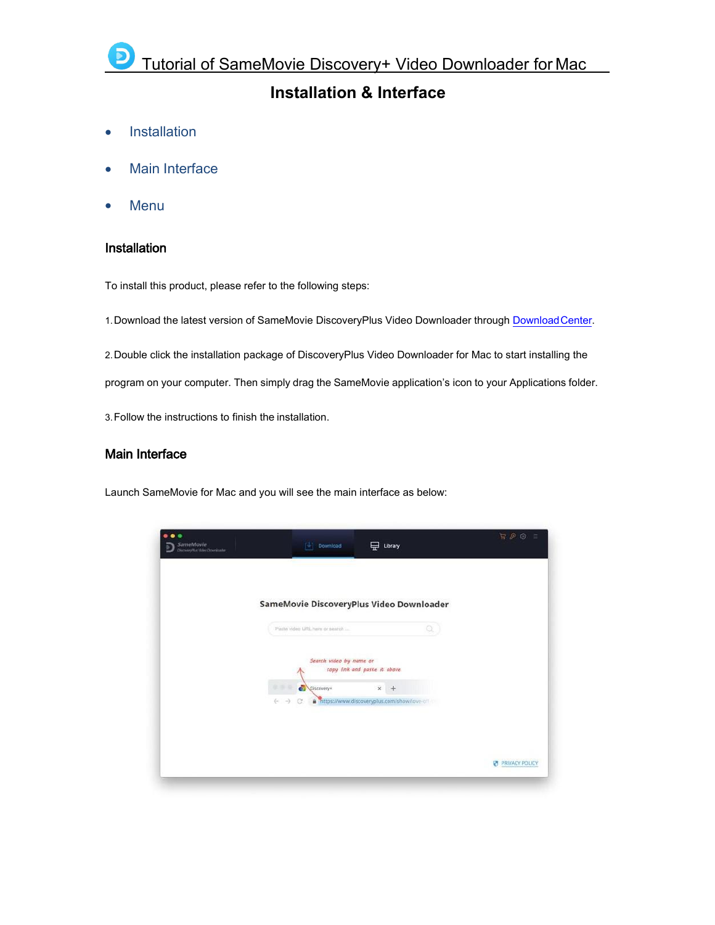## <span id="page-5-1"></span>**Installation & Interface**

- [Installation](#page-5-1)
- Main [Interface](#page-5-2)
- [Menu](#page-6-0)

### <span id="page-5-0"></span>Installation

To install this product, please refer to the following steps:

1.Download the latest version of SameMovie DiscoveryPlus Video Downloader through [DownloadCenter](https://www.samemovie.com/download.html).

2.Double click the installation package of DiscoveryPlus Video Downloader for Mac to start installing the

program on your computer. Then simply drag the SameMovie application's icon to your Applications folder.

3.Follow the instructions to finish the installation.

### <span id="page-5-2"></span>Main Interface

Launch SameMovie for Mac and you will see the main interface as below:

| $\bullet$ $\bullet$<br>SameMovie<br>DiscoveryPlat Molec Downloader | Download                                                                                        | Library | R P 8          |
|--------------------------------------------------------------------|-------------------------------------------------------------------------------------------------|---------|----------------|
|                                                                    | SameMovie DiscoveryPlus Video Downloader                                                        |         |                |
|                                                                    | Pasta video URL here or search                                                                  | Q       |                |
|                                                                    | Search video by name or<br>copy link and paste it above.                                        |         |                |
|                                                                    | 在事业<br>க<br>Discovery*<br>$\chi$<br>$(-)$<br>a https://www.discoveryplus.com/show/love-off<br>G |         |                |
|                                                                    |                                                                                                 |         |                |
|                                                                    |                                                                                                 |         | PRIVACY POLICY |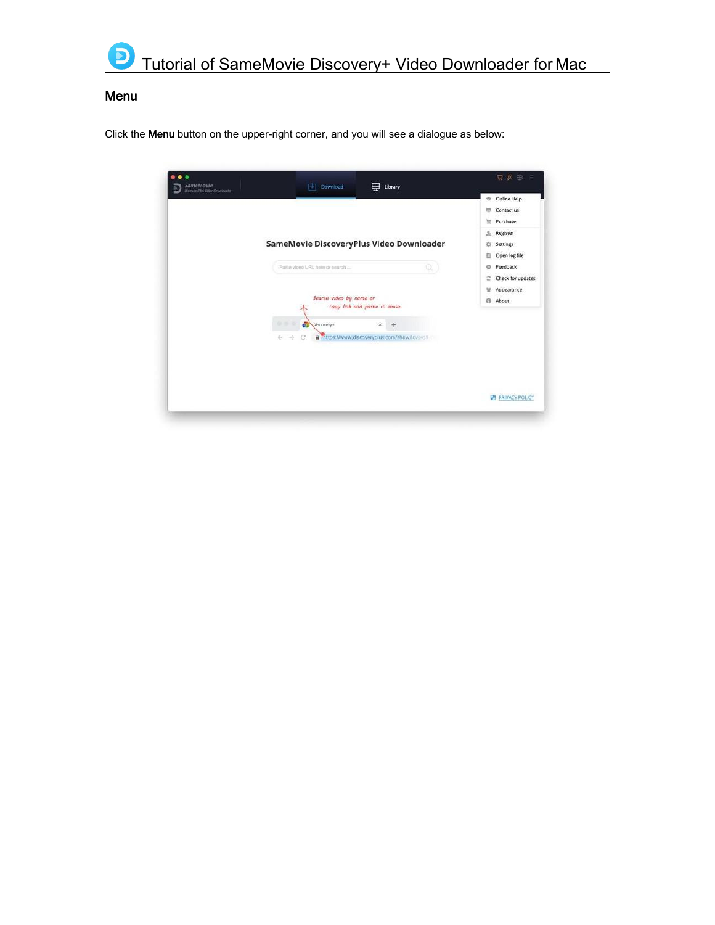

## <span id="page-6-0"></span>Menu

Click the Menu button on the upper-right corner, and you will see a dialogue as below:

| $\bullet\bullet$<br>SameMovie<br>DiscovinyPlat Molec Covericouter | Download<br>T÷1                          | ⋤<br>Library                                | $R P 8 =$              |
|-------------------------------------------------------------------|------------------------------------------|---------------------------------------------|------------------------|
|                                                                   |                                          |                                             | Online Help<br>ŵ.      |
|                                                                   |                                          |                                             | Contact us<br>門        |
|                                                                   |                                          |                                             | Purchase<br>Ħ          |
|                                                                   |                                          |                                             | $2\alpha$<br>Register  |
|                                                                   | SameMovie DiscoveryPlus Video Downloader |                                             | Settings<br>Ö          |
|                                                                   |                                          |                                             | ö<br>Open log file     |
|                                                                   | Pasta video URL hem or search            | Q                                           | Feedback<br>ö          |
|                                                                   |                                          |                                             | Check for updates<br>г |
|                                                                   |                                          |                                             | Appearance<br>u        |
|                                                                   | Search video by name or                  | copy link and paste it above                | About<br>0             |
|                                                                   |                                          |                                             |                        |
|                                                                   | க<br>19.15<br>Discovery*                 | $\times$<br>$+$                             |                        |
|                                                                   | $(-)$<br>C<br>ŵ.                         | https://www.discoveryplus.com/show/love-off |                        |
|                                                                   |                                          |                                             |                        |
|                                                                   |                                          |                                             |                        |
|                                                                   |                                          |                                             |                        |
|                                                                   |                                          |                                             |                        |
|                                                                   |                                          |                                             | PRIVACY POLICY         |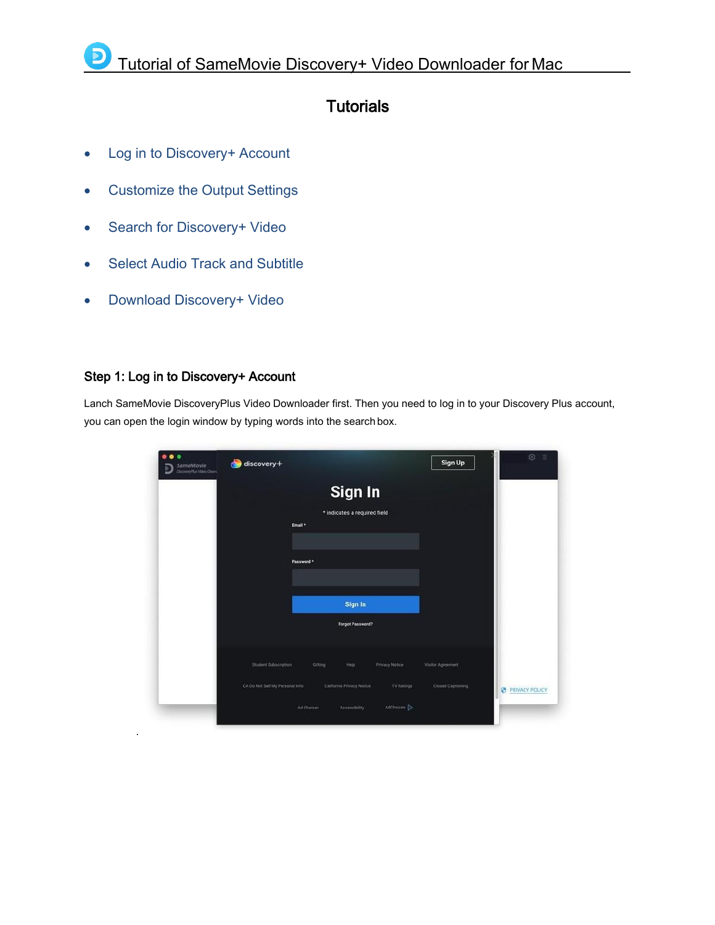## **Tutorials**

- Log in to [Discovery+](#page-7-0) Account
- [Customize](#page-8-0) the Output Settings
- Search for [Discovery+](#page-8-1) Video
- Select Audio Track and [Subtitle](#page-9-0)
- Download [Discovery+](#page-10-0) Video

## <span id="page-7-0"></span>Step 1: Log in to Discovery+ Account

.

Lanch SameMovie DiscoveryPlus Video Downloader first. Then you need to log in to your Discovery Plus account, you can open the login window by typing words into the search box.

| $\bigcirc$ discovery+ | Email* |                                                                       |                                      | Sign Up                                                     | $\odot$<br>Ξ             |
|-----------------------|--------|-----------------------------------------------------------------------|--------------------------------------|-------------------------------------------------------------|--------------------------|
|                       |        | Sign In                                                               |                                      |                                                             |                          |
|                       |        | Help                                                                  | <b>Privacy Notice</b><br>TV Ratings  | Visitor Agreement<br>Closed Captioning                      | <b>EN PRIVACY POLICY</b> |
|                       |        | Password *<br>Student Subscription<br>CA Do Not Sell My Personal Info | Gifting<br>California Privacy Notice | Sign In<br>* indicates a required field<br>Forgot Password? |                          |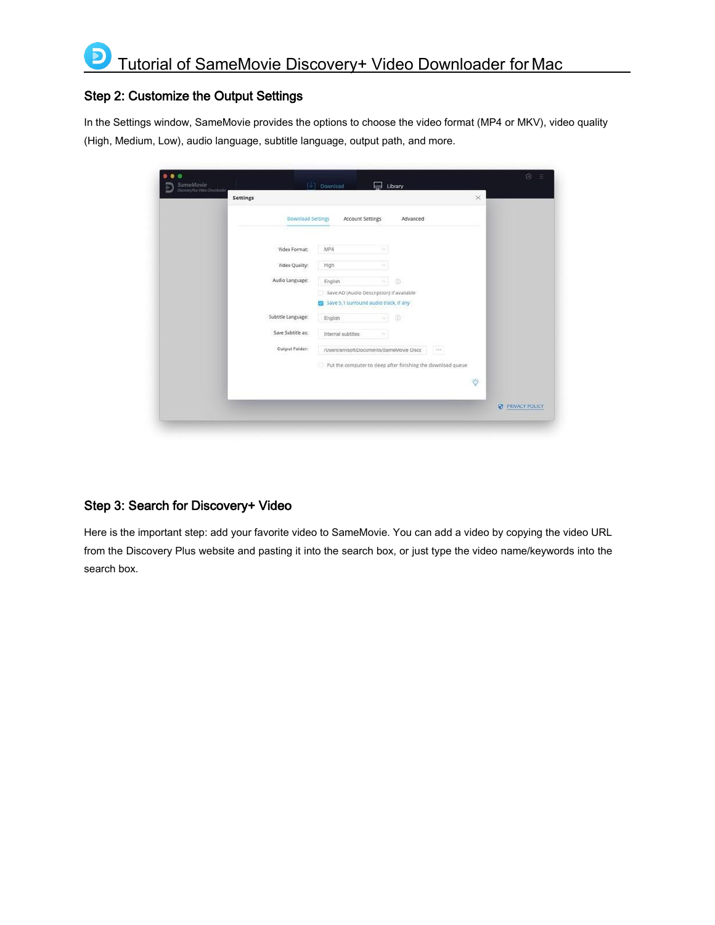## <span id="page-8-0"></span>Step 2: Customize the Output Settings

In the Settings window, SameMovie provides the options to choose the video format (MP4 or MKV), video quality (High, Medium, Low), audio language, subtitle language, output path, and more.

| Settings                 |                                         |                                                              |      | $\times$      |                       |
|--------------------------|-----------------------------------------|--------------------------------------------------------------|------|---------------|-----------------------|
| <b>Download Settings</b> | Account Settings                        | Advanced                                                     |      |               |                       |
| Video Format:            | MP4                                     | u                                                            |      |               |                       |
| Video Quality:           | High                                    | ×                                                            |      |               |                       |
| Audio Language:          | English                                 | $\odot$<br>91                                                |      |               |                       |
|                          | 3 Save 5.1 surround audio track, if any | Save AD (Audio Description) if available                     |      |               |                       |
| Subtitle Language:       | English                                 | $\circledR$<br>해                                             |      |               |                       |
| Save Subtitle as:        | Internal subtities                      | ×                                                            |      |               |                       |
| Output Folder:           |                                         | /Users/anvsoft/Documents/SameMovie Disco                     | A MA |               |                       |
|                          |                                         | Put the computer to sleep after finishing the download queue |      |               |                       |
|                          |                                         |                                                              |      | $\ddot{\phi}$ |                       |
|                          |                                         |                                                              |      |               | <b>PRIVACY POLICY</b> |

## <span id="page-8-1"></span>Step 3: Search for Discovery+ Video

Here is the important step: add your favorite video to SameMovie. You can add a video by copying the video URL from the Discovery Plus website and pasting it into the search box, or just type the video name/keywords into the search box.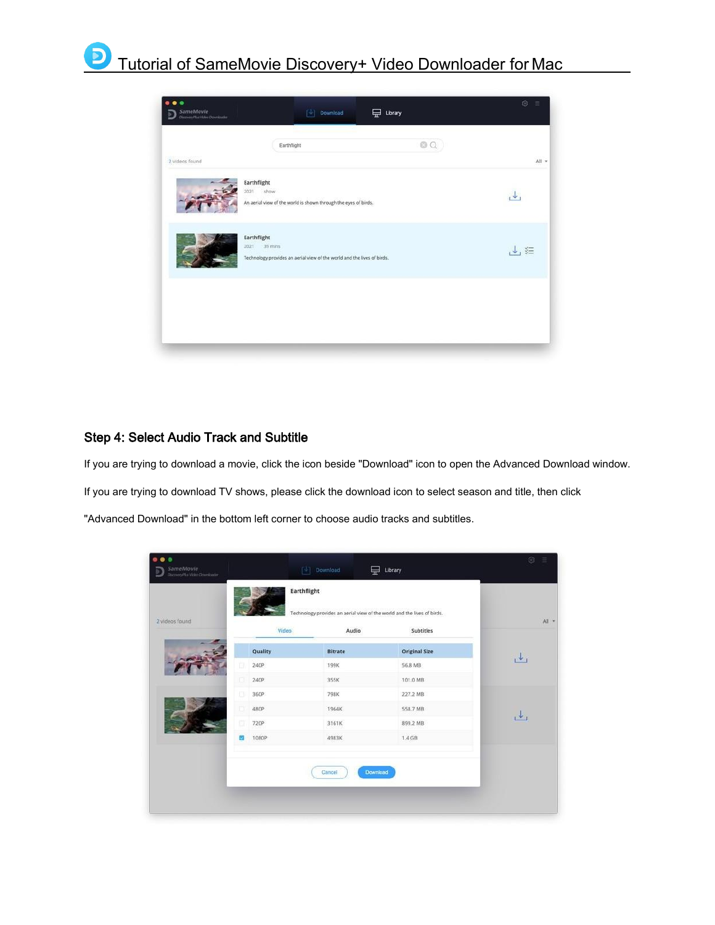

## <span id="page-9-0"></span>Step 4: Select Audio Track and Subtitle

If you are trying to download a movie, click the icon beside "Download" icon to open the Advanced Download window.

If you are trying to download TV shows, please click the download icon to select season and title, then click

"Advanced Download" in the bottom left corner to choose audio tracks and subtitles.

| 2 videos found | Video   |                |                      | All + |
|----------------|---------|----------------|----------------------|-------|
|                |         | Audio          | Subtitles            |       |
|                | Quality | <b>Bitrate</b> | <b>Original Size</b> |       |
| o              | 240P    | 199K           | 56.8 MB              | راف   |
| o              | 240P    | 355K           | 101.0 MB             |       |
| $\Box$         | 360P    | 798K           | 227.2 MB             |       |
|                | 480P    | 1964K          | 558.7 MB             | ريلى  |
| α              | 720P    | 3161K          | 899.2 MB             |       |
| ø              | 1080P   | 4983K          | 1.4 <sub>GB</sub>    |       |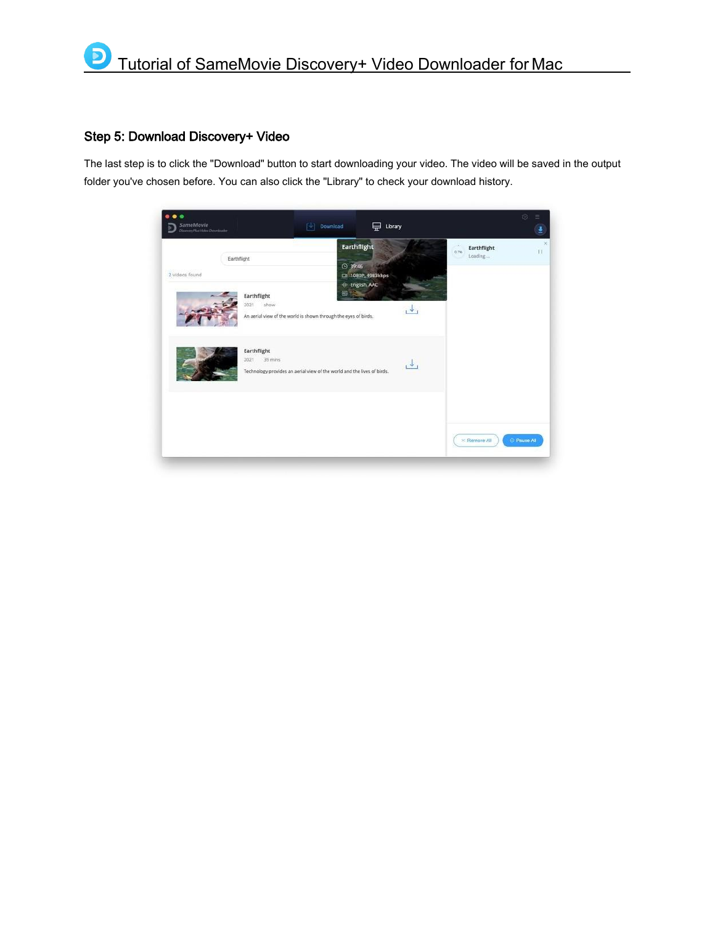## <span id="page-10-0"></span>Step 5: Download Discovery+ Video

The last step is to click the "Download" button to start downloading your video. The video will be saved in the output folder you've chosen before. You can also click the "Library" to check your download history.